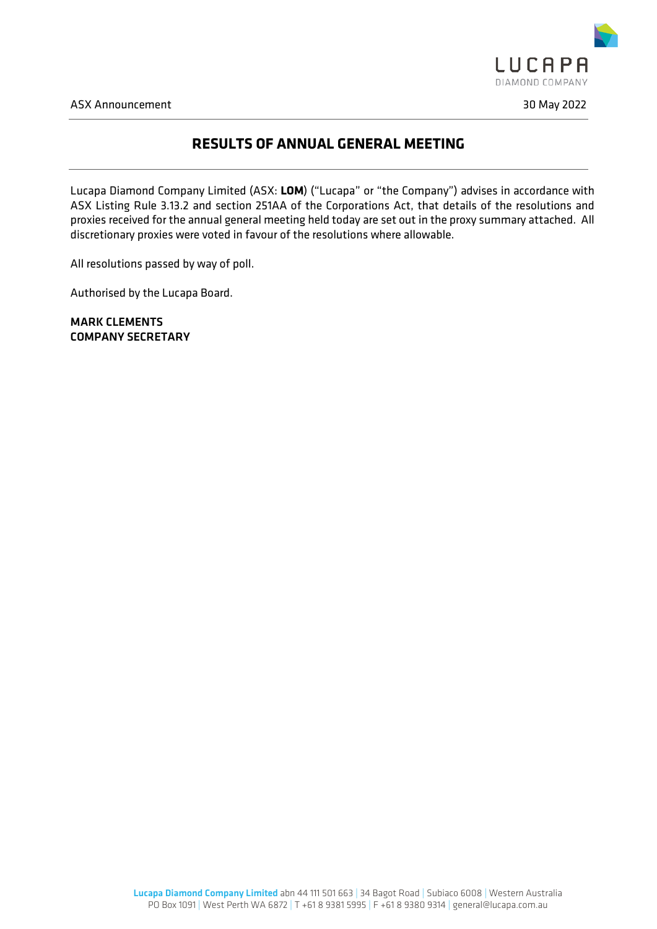

ASX Announcement 30 May 2022

## **RESULTS OF ANNUAL GENERAL MEETING**

Lucapa Diamond Company Limited (ASX: **LOM**) ("Lucapa" or "the Company") advises in accordance with ASX Listing Rule 3.13.2 and section 251AA of the Corporations Act, that details of the resolutions and proxies received for the annual general meeting held today are set out in the proxy summary attached. All discretionary proxies were voted in favour of the resolutions where allowable.

All resolutions passed by way of poll.

Authorised by the Lucapa Board.

MARK CLEMENTS COMPANY SECRETARY